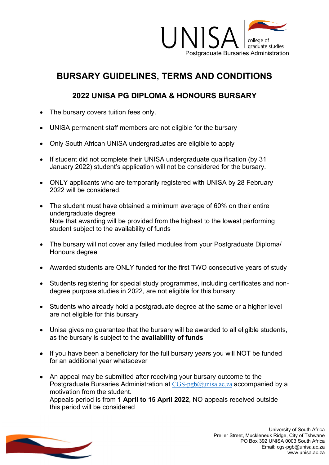

## **BURSARY GUIDELINES, TERMS AND CONDITIONS**

## **2022 UNISA PG DIPLOMA & HONOURS BURSARY**

- The bursary covers tuition fees only.
- UNISA permanent staff members are not eligible for the bursary
- Only South African UNISA undergraduates are eligible to apply
- If student did not complete their UNISA undergraduate qualification (by 31 January 2022) student's application will not be considered for the bursary.
- ONLY applicants who are temporarily registered with UNISA by 28 February 2022 will be considered.
- The student must have obtained a minimum average of 60% on their entire undergraduate degree Note that awarding will be provided from the highest to the lowest performing student subject to the availability of funds
- The bursary will not cover any failed modules from your Postgraduate Diploma/ Honours degree
- Awarded students are ONLY funded for the first TWO consecutive years of study
- Students registering for special study programmes, including certificates and nondegree purpose studies in 2022, are not eligible for this bursary
- Students who already hold a postgraduate degree at the same or a higher level are not eligible for this bursary
- Unisa gives no guarantee that the bursary will be awarded to all eligible students, as the bursary is subject to the **availability of funds**
- If you have been a beneficiary for the full bursary years you will NOT be funded for an additional year whatsoever
- An appeal may be submitted after receiving your bursary outcome to the Postgraduate Bursaries Administration at [CGS-pgb@unisa.ac.za](mailto:CGS-pgb@unisa.ac.za) accompanied by a motivation from the student. Appeals period is from **1 April to 15 April 2022**, NO appeals received outside this period will be considered